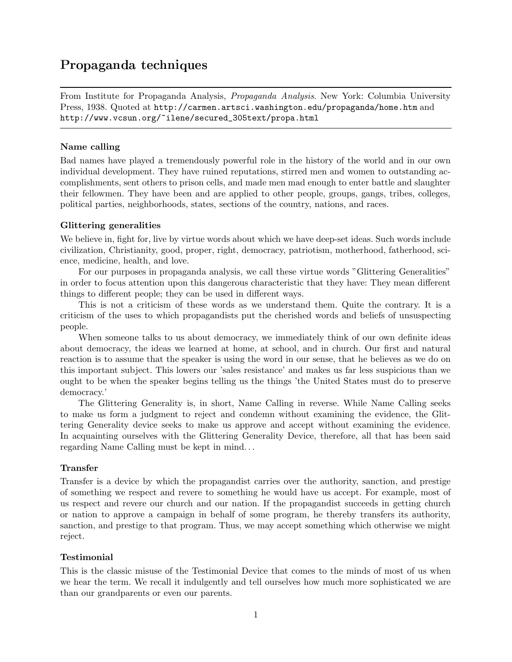# -

From Institute for Propaganda Analysis, Propaganda Analysis. New York: Columbia University Press, 1938. Quoted at http://carmen.artsci.washington.edu/propaganda/home.htm and http://www.vcsun.org/~ilene/secured\_305text/propa.html

## Name calling

Bad names have played a tremendously powerful role in the history of the world and in our own individual development. They have ruined reputations, stirred men and women to outstanding accomplishments, sent others to prison cells, and made men mad enough to enter battle and slaughter their fellowmen. They have been and are applied to other people, groups, gangs, tribes, colleges, political parties, neighborhoods, states, sections of the country, nations, and races.

## Glittering generalities

We believe in, fight for, live by virtue words about which we have deep-set ideas. Such words include civilization, Christianity, good, proper, right, democracy, patriotism, motherhood, fatherhood, science, medicine, health, and love.

For our purposes in propaganda analysis, we call these virtue words "Glittering Generalities" in order to focus attention upon this dangerous characteristic that they have: They mean different things to different people; they can be used in different ways.

This is not a criticism of these words as we understand them. Quite the contrary. It is a criticism of the uses to which propagandists put the cherished words and beliefs of unsuspecting people.

When someone talks to us about democracy, we immediately think of our own definite ideas about democracy, the ideas we learned at home, at school, and in church. Our first and natural reaction is to assume that the speaker is using the word in our sense, that he believes as we do on this important subject. This lowers our 'sales resistance' and makes us far less suspicious than we ought to be when the speaker begins telling us the things 'the United States must do to preserve democracy.'

The Glittering Generality is, in short, Name Calling in reverse. While Name Calling seeks to make us form a judgment to reject and condemn without examining the evidence, the Glittering Generality device seeks to make us approve and accept without examining the evidence. In acquainting ourselves with the Glittering Generality Device, therefore, all that has been said regarding Name Calling must be kept in mind. . .

## Transfer

Transfer is a device by which the propagandist carries over the authority, sanction, and prestige of something we respect and revere to something he would have us accept. For example, most of us respect and revere our church and our nation. If the propagandist succeeds in getting church or nation to approve a campaign in behalf of some program, he thereby transfers its authority, sanction, and prestige to that program. Thus, we may accept something which otherwise we might reject.

## Testimonial

This is the classic misuse of the Testimonial Device that comes to the minds of most of us when we hear the term. We recall it indulgently and tell ourselves how much more sophisticated we are than our grandparents or even our parents.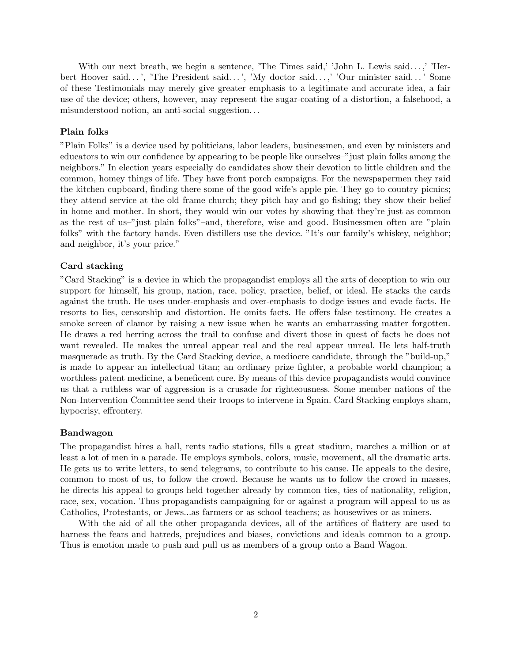With our next breath, we begin a sentence, 'The Times said,' 'John L. Lewis said...,' 'Herbert Hoover said...', 'The President said...', 'My doctor said...,' 'Our minister said...' Some of these Testimonials may merely give greater emphasis to a legitimate and accurate idea, a fair use of the device; others, however, may represent the sugar-coating of a distortion, a falsehood, a misunderstood notion, an anti-social suggestion. . .

## Plain folks

"Plain Folks" is a device used by politicians, labor leaders, businessmen, and even by ministers and educators to win our confidence by appearing to be people like ourselves–"just plain folks among the neighbors." In election years especially do candidates show their devotion to little children and the common, homey things of life. They have front porch campaigns. For the newspapermen they raid the kitchen cupboard, finding there some of the good wife's apple pie. They go to country picnics; they attend service at the old frame church; they pitch hay and go fishing; they show their belief in home and mother. In short, they would win our votes by showing that they're just as common as the rest of us–"just plain folks"–and, therefore, wise and good. Businessmen often are "plain folks" with the factory hands. Even distillers use the device. "It's our family's whiskey, neighbor; and neighbor, it's your price."

### Card stacking

"Card Stacking" is a device in which the propagandist employs all the arts of deception to win our support for himself, his group, nation, race, policy, practice, belief, or ideal. He stacks the cards against the truth. He uses under-emphasis and over-emphasis to dodge issues and evade facts. He resorts to lies, censorship and distortion. He omits facts. He offers false testimony. He creates a smoke screen of clamor by raising a new issue when he wants an embarrassing matter forgotten. He draws a red herring across the trail to confuse and divert those in quest of facts he does not want revealed. He makes the unreal appear real and the real appear unreal. He lets half-truth masquerade as truth. By the Card Stacking device, a mediocre candidate, through the "build-up," is made to appear an intellectual titan; an ordinary prize fighter, a probable world champion; a worthless patent medicine, a beneficent cure. By means of this device propagandists would convince us that a ruthless war of aggression is a crusade for righteousness. Some member nations of the Non-Intervention Committee send their troops to intervene in Spain. Card Stacking employs sham, hypocrisy, effrontery.

### Bandwagon

The propagandist hires a hall, rents radio stations, fills a great stadium, marches a million or at least a lot of men in a parade. He employs symbols, colors, music, movement, all the dramatic arts. He gets us to write letters, to send telegrams, to contribute to his cause. He appeals to the desire, common to most of us, to follow the crowd. Because he wants us to follow the crowd in masses, he directs his appeal to groups held together already by common ties, ties of nationality, religion, race, sex, vocation. Thus propagandists campaigning for or against a program will appeal to us as Catholics, Protestants, or Jews...as farmers or as school teachers; as housewives or as miners.

With the aid of all the other propaganda devices, all of the artifices of flattery are used to harness the fears and hatreds, prejudices and biases, convictions and ideals common to a group. Thus is emotion made to push and pull us as members of a group onto a Band Wagon.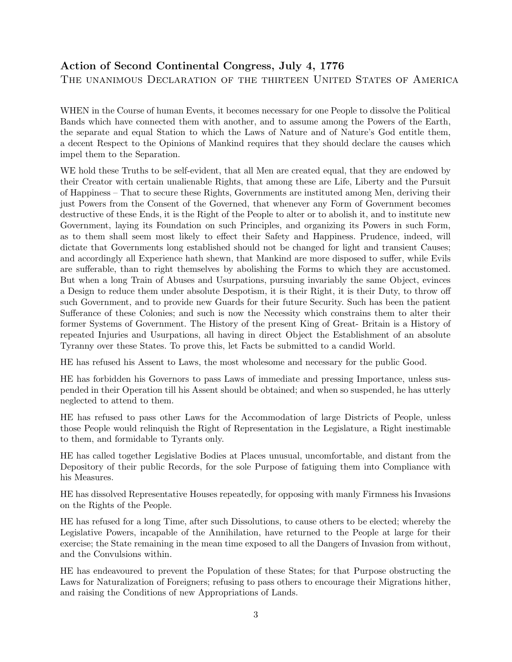## Action of Second Continental Congress, July 4, 1776

The unanimous Declaration of the thirteen United States of America

WHEN in the Course of human Events, it becomes necessary for one People to dissolve the Political Bands which have connected them with another, and to assume among the Powers of the Earth, the separate and equal Station to which the Laws of Nature and of Nature's God entitle them, a decent Respect to the Opinions of Mankind requires that they should declare the causes which impel them to the Separation.

WE hold these Truths to be self-evident, that all Men are created equal, that they are endowed by their Creator with certain unalienable Rights, that among these are Life, Liberty and the Pursuit of Happiness – That to secure these Rights, Governments are instituted among Men, deriving their just Powers from the Consent of the Governed, that whenever any Form of Government becomes destructive of these Ends, it is the Right of the People to alter or to abolish it, and to institute new Government, laying its Foundation on such Principles, and organizing its Powers in such Form, as to them shall seem most likely to effect their Safety and Happiness. Prudence, indeed, will dictate that Governments long established should not be changed for light and transient Causes; and accordingly all Experience hath shewn, that Mankind are more disposed to suffer, while Evils are sufferable, than to right themselves by abolishing the Forms to which they are accustomed. But when a long Train of Abuses and Usurpations, pursuing invariably the same Object, evinces a Design to reduce them under absolute Despotism, it is their Right, it is their Duty, to throw off such Government, and to provide new Guards for their future Security. Such has been the patient Sufferance of these Colonies; and such is now the Necessity which constrains them to alter their former Systems of Government. The History of the present King of Great- Britain is a History of repeated Injuries and Usurpations, all having in direct Object the Establishment of an absolute Tyranny over these States. To prove this, let Facts be submitted to a candid World.

HE has refused his Assent to Laws, the most wholesome and necessary for the public Good.

HE has forbidden his Governors to pass Laws of immediate and pressing Importance, unless suspended in their Operation till his Assent should be obtained; and when so suspended, he has utterly neglected to attend to them.

HE has refused to pass other Laws for the Accommodation of large Districts of People, unless those People would relinquish the Right of Representation in the Legislature, a Right inestimable to them, and formidable to Tyrants only.

HE has called together Legislative Bodies at Places unusual, uncomfortable, and distant from the Depository of their public Records, for the sole Purpose of fatiguing them into Compliance with his Measures.

HE has dissolved Representative Houses repeatedly, for opposing with manly Firmness his Invasions on the Rights of the People.

HE has refused for a long Time, after such Dissolutions, to cause others to be elected; whereby the Legislative Powers, incapable of the Annihilation, have returned to the People at large for their exercise; the State remaining in the mean time exposed to all the Dangers of Invasion from without, and the Convulsions within.

HE has endeavoured to prevent the Population of these States; for that Purpose obstructing the Laws for Naturalization of Foreigners; refusing to pass others to encourage their Migrations hither, and raising the Conditions of new Appropriations of Lands.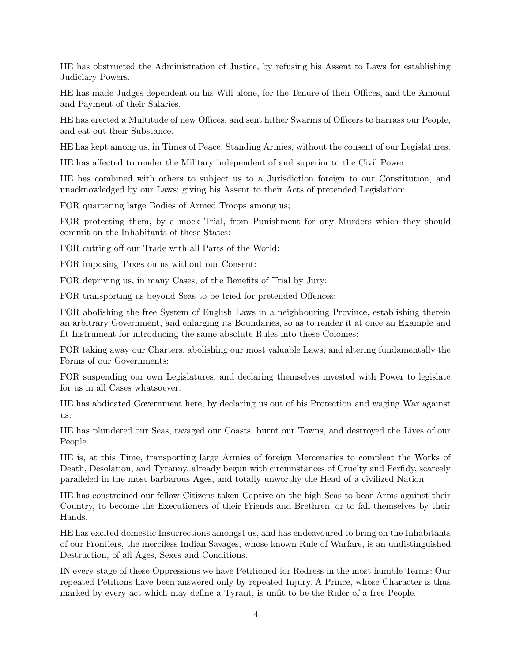HE has obstructed the Administration of Justice, by refusing his Assent to Laws for establishing Judiciary Powers.

HE has made Judges dependent on his Will alone, for the Tenure of their Offices, and the Amount and Payment of their Salaries.

HE has erected a Multitude of new Offices, and sent hither Swarms of Officers to harrass our People, and eat out their Substance.

HE has kept among us, in Times of Peace, Standing Armies, without the consent of our Legislatures.

HE has affected to render the Military independent of and superior to the Civil Power.

HE has combined with others to subject us to a Jurisdiction foreign to our Constitution, and unacknowledged by our Laws; giving his Assent to their Acts of pretended Legislation:

FOR quartering large Bodies of Armed Troops among us;

FOR protecting them, by a mock Trial, from Punishment for any Murders which they should commit on the Inhabitants of these States:

FOR cutting off our Trade with all Parts of the World:

FOR imposing Taxes on us without our Consent:

FOR depriving us, in many Cases, of the Benefits of Trial by Jury:

FOR transporting us beyond Seas to be tried for pretended Offences:

FOR abolishing the free System of English Laws in a neighbouring Province, establishing therein an arbitrary Government, and enlarging its Boundaries, so as to render it at once an Example and fit Instrument for introducing the same absolute Rules into these Colonies:

FOR taking away our Charters, abolishing our most valuable Laws, and altering fundamentally the Forms of our Governments:

FOR suspending our own Legislatures, and declaring themselves invested with Power to legislate for us in all Cases whatsoever.

HE has abdicated Government here, by declaring us out of his Protection and waging War against us.

HE has plundered our Seas, ravaged our Coasts, burnt our Towns, and destroyed the Lives of our People.

HE is, at this Time, transporting large Armies of foreign Mercenaries to compleat the Works of Death, Desolation, and Tyranny, already begun with circumstances of Cruelty and Perfidy, scarcely paralleled in the most barbarous Ages, and totally unworthy the Head of a civilized Nation.

HE has constrained our fellow Citizens taken Captive on the high Seas to bear Arms against their Country, to become the Executioners of their Friends and Brethren, or to fall themselves by their Hands.

HE has excited domestic Insurrections amongst us, and has endeavoured to bring on the Inhabitants of our Frontiers, the merciless Indian Savages, whose known Rule of Warfare, is an undistinguished Destruction, of all Ages, Sexes and Conditions.

IN every stage of these Oppressions we have Petitioned for Redress in the most humble Terms: Our repeated Petitions have been answered only by repeated Injury. A Prince, whose Character is thus marked by every act which may define a Tyrant, is unfit to be the Ruler of a free People.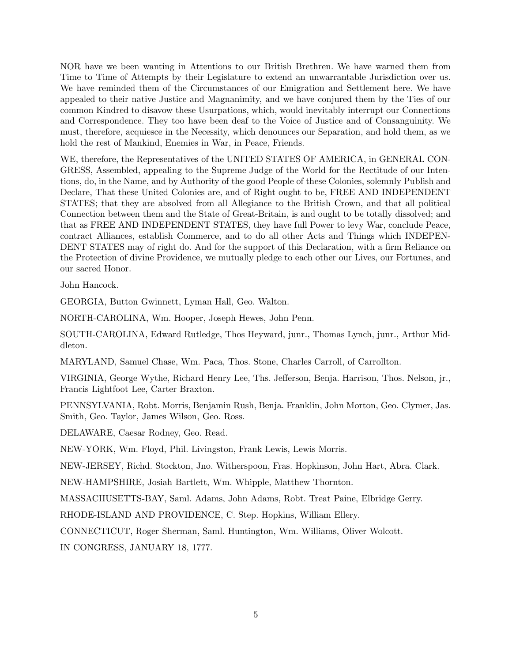NOR have we been wanting in Attentions to our British Brethren. We have warned them from Time to Time of Attempts by their Legislature to extend an unwarrantable Jurisdiction over us. We have reminded them of the Circumstances of our Emigration and Settlement here. We have appealed to their native Justice and Magnanimity, and we have conjured them by the Ties of our common Kindred to disavow these Usurpations, which, would inevitably interrupt our Connections and Correspondence. They too have been deaf to the Voice of Justice and of Consanguinity. We must, therefore, acquiesce in the Necessity, which denounces our Separation, and hold them, as we hold the rest of Mankind, Enemies in War, in Peace, Friends.

WE, therefore, the Representatives of the UNITED STATES OF AMERICA, in GENERAL CON-GRESS, Assembled, appealing to the Supreme Judge of the World for the Rectitude of our Intentions, do, in the Name, and by Authority of the good People of these Colonies, solemnly Publish and Declare, That these United Colonies are, and of Right ought to be, FREE AND INDEPENDENT STATES; that they are absolved from all Allegiance to the British Crown, and that all political Connection between them and the State of Great-Britain, is and ought to be totally dissolved; and that as FREE AND INDEPENDENT STATES, they have full Power to levy War, conclude Peace, contract Alliances, establish Commerce, and to do all other Acts and Things which INDEPEN-DENT STATES may of right do. And for the support of this Declaration, with a firm Reliance on the Protection of divine Providence, we mutually pledge to each other our Lives, our Fortunes, and our sacred Honor.

John Hancock.

GEORGIA, Button Gwinnett, Lyman Hall, Geo. Walton.

NORTH-CAROLINA, Wm. Hooper, Joseph Hewes, John Penn.

SOUTH-CAROLINA, Edward Rutledge, Thos Heyward, junr., Thomas Lynch, junr., Arthur Middleton.

MARYLAND, Samuel Chase, Wm. Paca, Thos. Stone, Charles Carroll, of Carrollton.

VIRGINIA, George Wythe, Richard Henry Lee, Ths. Jefferson, Benja. Harrison, Thos. Nelson, jr., Francis Lightfoot Lee, Carter Braxton.

PENNSYLVANIA, Robt. Morris, Benjamin Rush, Benja. Franklin, John Morton, Geo. Clymer, Jas. Smith, Geo. Taylor, James Wilson, Geo. Ross.

DELAWARE, Caesar Rodney, Geo. Read.

NEW-YORK, Wm. Floyd, Phil. Livingston, Frank Lewis, Lewis Morris.

NEW-JERSEY, Richd. Stockton, Jno. Witherspoon, Fras. Hopkinson, John Hart, Abra. Clark.

NEW-HAMPSHIRE, Josiah Bartlett, Wm. Whipple, Matthew Thornton.

MASSACHUSETTS-BAY, Saml. Adams, John Adams, Robt. Treat Paine, Elbridge Gerry.

RHODE-ISLAND AND PROVIDENCE, C. Step. Hopkins, William Ellery.

CONNECTICUT, Roger Sherman, Saml. Huntington, Wm. Williams, Oliver Wolcott.

IN CONGRESS, JANUARY 18, 1777.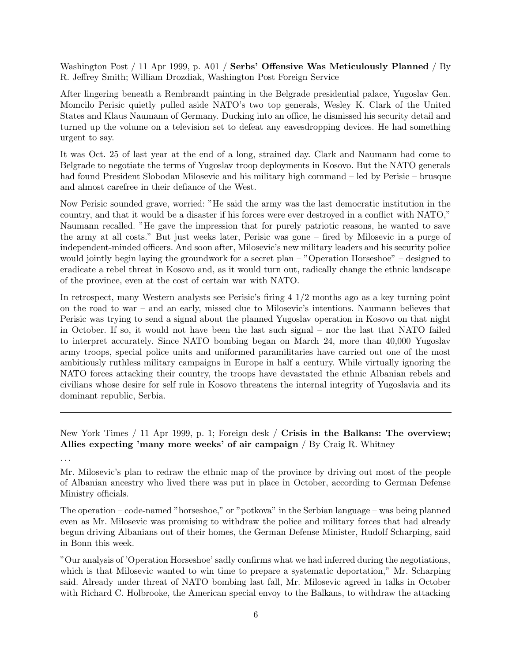Washington Post / 11 Apr 1999, p. A01 / Serbs' Offensive Was Meticulously Planned / By R. Jeffrey Smith; William Drozdiak, Washington Post Foreign Service

After lingering beneath a Rembrandt painting in the Belgrade presidential palace, Yugoslav Gen. Momcilo Perisic quietly pulled aside NATO's two top generals, Wesley K. Clark of the United States and Klaus Naumann of Germany. Ducking into an office, he dismissed his security detail and turned up the volume on a television set to defeat any eavesdropping devices. He had something urgent to say.

It was Oct. 25 of last year at the end of a long, strained day. Clark and Naumann had come to Belgrade to negotiate the terms of Yugoslav troop deployments in Kosovo. But the NATO generals had found President Slobodan Milosevic and his military high command – led by Perisic – brusque and almost carefree in their defiance of the West.

Now Perisic sounded grave, worried: "He said the army was the last democratic institution in the country, and that it would be a disaster if his forces were ever destroyed in a conflict with NATO," Naumann recalled. "He gave the impression that for purely patriotic reasons, he wanted to save the army at all costs." But just weeks later, Perisic was gone – fired by Milosevic in a purge of independent-minded officers. And soon after, Milosevic's new military leaders and his security police would jointly begin laying the groundwork for a secret plan – "Operation Horseshoe" – designed to eradicate a rebel threat in Kosovo and, as it would turn out, radically change the ethnic landscape of the province, even at the cost of certain war with NATO.

In retrospect, many Western analysts see Perisic's firing 4 1/2 months ago as a key turning point on the road to war – and an early, missed clue to Milosevic's intentions. Naumann believes that Perisic was trying to send a signal about the planned Yugoslav operation in Kosovo on that night in October. If so, it would not have been the last such signal – nor the last that NATO failed to interpret accurately. Since NATO bombing began on March 24, more than 40,000 Yugoslav army troops, special police units and uniformed paramilitaries have carried out one of the most ambitiously ruthless military campaigns in Europe in half a century. While virtually ignoring the NATO forces attacking their country, the troops have devastated the ethnic Albanian rebels and civilians whose desire for self rule in Kosovo threatens the internal integrity of Yugoslavia and its dominant republic, Serbia.

New York Times / 11 Apr 1999, p. 1; Foreign desk / Crisis in the Balkans: The overview; Allies expecting 'many more weeks' of air campaign / By Craig R. Whitney

Mr. Milosevic's plan to redraw the ethnic map of the province by driving out most of the people of Albanian ancestry who lived there was put in place in October, according to German Defense Ministry officials.

The operation – code-named "horseshoe," or "potkova" in the Serbian language – was being planned even as Mr. Milosevic was promising to withdraw the police and military forces that had already begun driving Albanians out of their homes, the German Defense Minister, Rudolf Scharping, said in Bonn this week.

"Our analysis of 'Operation Horseshoe' sadly confirms what we had inferred during the negotiations, which is that Milosevic wanted to win time to prepare a systematic deportation," Mr. Scharping said. Already under threat of NATO bombing last fall, Mr. Milosevic agreed in talks in October with Richard C. Holbrooke, the American special envoy to the Balkans, to withdraw the attacking

<sup>.</sup> . .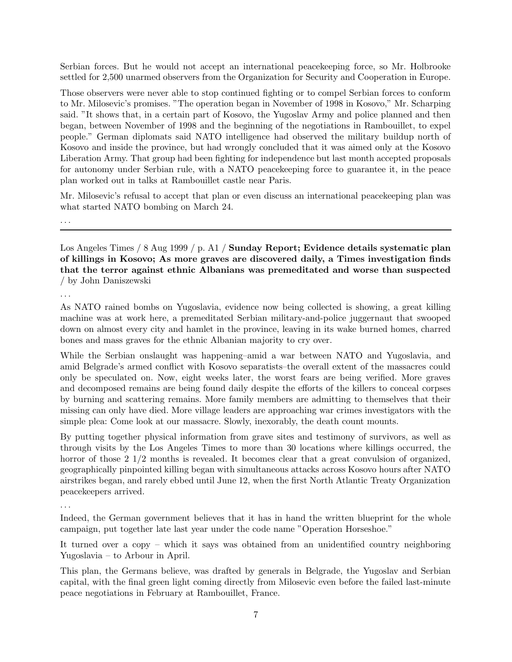Serbian forces. But he would not accept an international peacekeeping force, so Mr. Holbrooke settled for 2,500 unarmed observers from the Organization for Security and Cooperation in Europe.

Those observers were never able to stop continued fighting or to compel Serbian forces to conform to Mr. Milosevic's promises. "The operation began in November of 1998 in Kosovo," Mr. Scharping said. "It shows that, in a certain part of Kosovo, the Yugoslav Army and police planned and then began, between November of 1998 and the beginning of the negotiations in Rambouillet, to expel people." German diplomats said NATO intelligence had observed the military buildup north of Kosovo and inside the province, but had wrongly concluded that it was aimed only at the Kosovo Liberation Army. That group had been fighting for independence but last month accepted proposals for autonomy under Serbian rule, with a NATO peacekeeping force to guarantee it, in the peace plan worked out in talks at Rambouillet castle near Paris.

Mr. Milosevic's refusal to accept that plan or even discuss an international peacekeeping plan was what started NATO bombing on March 24.

. . .

Los Angeles Times / 8 Aug 1999 / p. A1 / Sunday Report; Evidence details systematic plan of killings in Kosovo; As more graves are discovered daily, a Times investigation finds that the terror against ethnic Albanians was premeditated and worse than suspected / by John Daniszewski

. . .

As NATO rained bombs on Yugoslavia, evidence now being collected is showing, a great killing machine was at work here, a premeditated Serbian military-and-police juggernaut that swooped down on almost every city and hamlet in the province, leaving in its wake burned homes, charred bones and mass graves for the ethnic Albanian majority to cry over.

While the Serbian onslaught was happening–amid a war between NATO and Yugoslavia, and amid Belgrade's armed conflict with Kosovo separatists–the overall extent of the massacres could only be speculated on. Now, eight weeks later, the worst fears are being verified. More graves and decomposed remains are being found daily despite the efforts of the killers to conceal corpses by burning and scattering remains. More family members are admitting to themselves that their missing can only have died. More village leaders are approaching war crimes investigators with the simple plea: Come look at our massacre. Slowly, inexorably, the death count mounts.

By putting together physical information from grave sites and testimony of survivors, as well as through visits by the Los Angeles Times to more than 30 locations where killings occurred, the horror of those 2  $1/2$  months is revealed. It becomes clear that a great convulsion of organized, geographically pinpointed killing began with simultaneous attacks across Kosovo hours after NATO airstrikes began, and rarely ebbed until June 12, when the first North Atlantic Treaty Organization peacekeepers arrived.

. . .

Indeed, the German government believes that it has in hand the written blueprint for the whole campaign, put together late last year under the code name "Operation Horseshoe."

It turned over a copy – which it says was obtained from an unidentified country neighboring Yugoslavia – to Arbour in April.

This plan, the Germans believe, was drafted by generals in Belgrade, the Yugoslav and Serbian capital, with the final green light coming directly from Milosevic even before the failed last-minute peace negotiations in February at Rambouillet, France.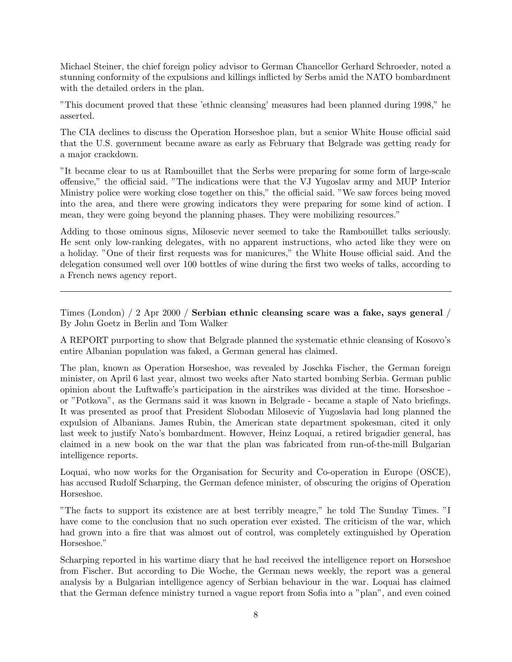Michael Steiner, the chief foreign policy advisor to German Chancellor Gerhard Schroeder, noted a stunning conformity of the expulsions and killings inflicted by Serbs amid the NATO bombardment with the detailed orders in the plan.

"This document proved that these 'ethnic cleansing' measures had been planned during 1998," he asserted.

The CIA declines to discuss the Operation Horseshoe plan, but a senior White House official said that the U.S. government became aware as early as February that Belgrade was getting ready for a major crackdown.

"It became clear to us at Rambouillet that the Serbs were preparing for some form of large-scale offensive," the official said. "The indications were that the VJ Yugoslav army and MUP Interior Ministry police were working close together on this," the official said. "We saw forces being moved into the area, and there were growing indicators they were preparing for some kind of action. I mean, they were going beyond the planning phases. They were mobilizing resources."

Adding to those ominous signs, Milosevic never seemed to take the Rambouillet talks seriously. He sent only low-ranking delegates, with no apparent instructions, who acted like they were on a holiday. "One of their first requests was for manicures," the White House official said. And the delegation consumed well over 100 bottles of wine during the first two weeks of talks, according to a French news agency report.

Times (London) / 2 Apr 2000 / Serbian ethnic cleansing scare was a fake, says general / By John Goetz in Berlin and Tom Walker

A REPORT purporting to show that Belgrade planned the systematic ethnic cleansing of Kosovo's entire Albanian population was faked, a German general has claimed.

The plan, known as Operation Horseshoe, was revealed by Joschka Fischer, the German foreign minister, on April 6 last year, almost two weeks after Nato started bombing Serbia. German public opinion about the Luftwaffe's participation in the airstrikes was divided at the time. Horseshoe or "Potkova", as the Germans said it was known in Belgrade - became a staple of Nato briefings. It was presented as proof that President Slobodan Milosevic of Yugoslavia had long planned the expulsion of Albanians. James Rubin, the American state department spokesman, cited it only last week to justify Nato's bombardment. However, Heinz Loquai, a retired brigadier general, has claimed in a new book on the war that the plan was fabricated from run-of-the-mill Bulgarian intelligence reports.

Loquai, who now works for the Organisation for Security and Co-operation in Europe (OSCE), has accused Rudolf Scharping, the German defence minister, of obscuring the origins of Operation Horseshoe.

"The facts to support its existence are at best terribly meagre," he told The Sunday Times. "I have come to the conclusion that no such operation ever existed. The criticism of the war, which had grown into a fire that was almost out of control, was completely extinguished by Operation Horseshoe."

Scharping reported in his wartime diary that he had received the intelligence report on Horseshoe from Fischer. But according to Die Woche, the German news weekly, the report was a general analysis by a Bulgarian intelligence agency of Serbian behaviour in the war. Loquai has claimed that the German defence ministry turned a vague report from Sofia into a "plan", and even coined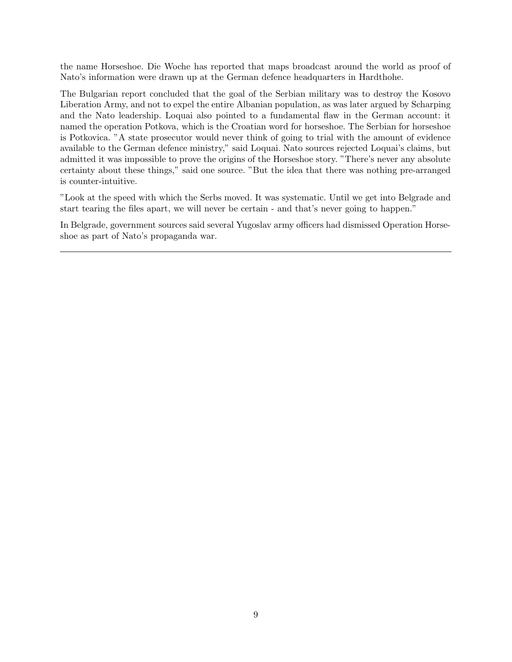the name Horseshoe. Die Woche has reported that maps broadcast around the world as proof of Nato's information were drawn up at the German defence headquarters in Hardthohe.

The Bulgarian report concluded that the goal of the Serbian military was to destroy the Kosovo Liberation Army, and not to expel the entire Albanian population, as was later argued by Scharping and the Nato leadership. Loquai also pointed to a fundamental flaw in the German account: it named the operation Potkova, which is the Croatian word for horseshoe. The Serbian for horseshoe is Potkovica. "A state prosecutor would never think of going to trial with the amount of evidence available to the German defence ministry," said Loquai. Nato sources rejected Loquai's claims, but admitted it was impossible to prove the origins of the Horseshoe story. "There's never any absolute certainty about these things," said one source. "But the idea that there was nothing pre-arranged is counter-intuitive.

"Look at the speed with which the Serbs moved. It was systematic. Until we get into Belgrade and start tearing the files apart, we will never be certain - and that's never going to happen."

In Belgrade, government sources said several Yugoslav army officers had dismissed Operation Horseshoe as part of Nato's propaganda war.